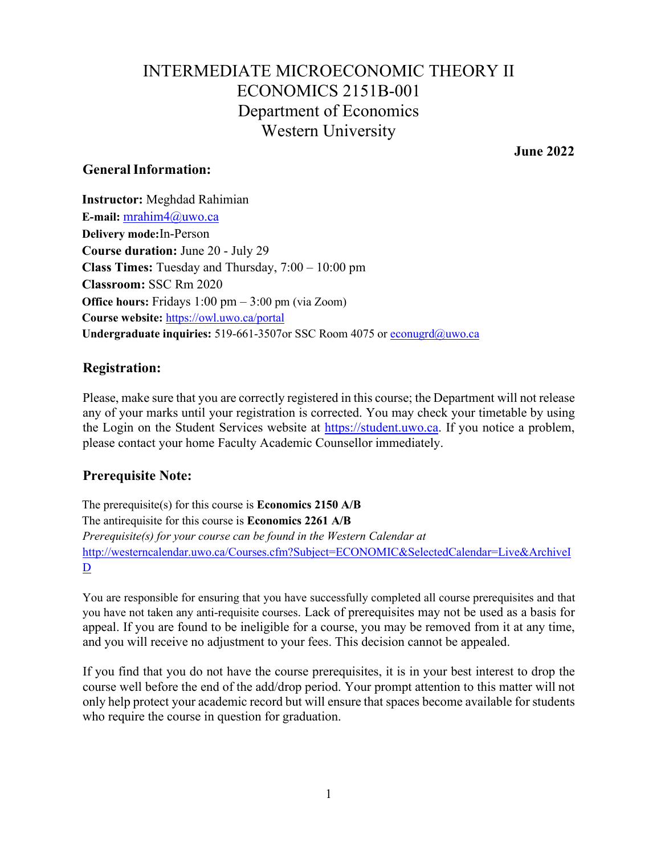# Department of Economics INTERMEDIATE MICROECONOMIC THEORY II ECONOMICS 2151B-001 Western University

**June 2022** 

## **General Information:**

 **Course duration:** June 20 - July 29 **Class Times:** Tuesday and Thursday, 7:00 – 10:00 pm **Office hours:** Fridays 1:00 pm – 3:00 pm (via Zoom) **Instructor:** Meghdad Rahimian **E-mail:** [mrahim4@uwo.ca](mailto:mrahim4@uwo.ca)  **Delivery mode:**In-Person **Classroom:** SSC Rm 2020 **Course website:** <https://owl.uwo.ca/portal> **Undergraduate inquiries:** 519-661-3507or SSC Room 4075 or [econugrd@uwo.ca](mailto:econugrd@uwo.ca) 

## **Registration:**

 Please, make sure that you are correctly registered in this course; the Department will not release the Login on the Student Services website at **https://student.uwo.ca**. If you notice a problem, any of your marks until your registration is corrected. You may check your timetable by using please contact your home Faculty Academic Counsellor immediately.

# **Prerequisite Note:**

 *Prerequisite(s) for your course can be found in the Western Calendar at*  The prerequisite(s) for this course is **Economics 2150 A/B**  The antirequisite for this course is **Economics 2261 A/B**  <http://westerncalendar.uwo.ca/Courses.cfm?Subject=ECONOMIC&SelectedCalendar=Live&ArchiveI> D

 You are responsible for ensuring that you have successfully completed all course prerequisites and that you have not taken any anti-requisite courses. Lack of prerequisites may not be used as a basis for appeal. If you are found to be ineligible for a course, you may be removed from it at any time, and you will receive no adjustment to your fees. This decision cannot be appealed.

 course well before the end of the add/drop period. Your prompt attention to this matter will not only help protect your academic record but will ensure that spaces become available for students who require the course in question for graduation. If you find that you do not have the course prerequisites, it is in your best interest to drop the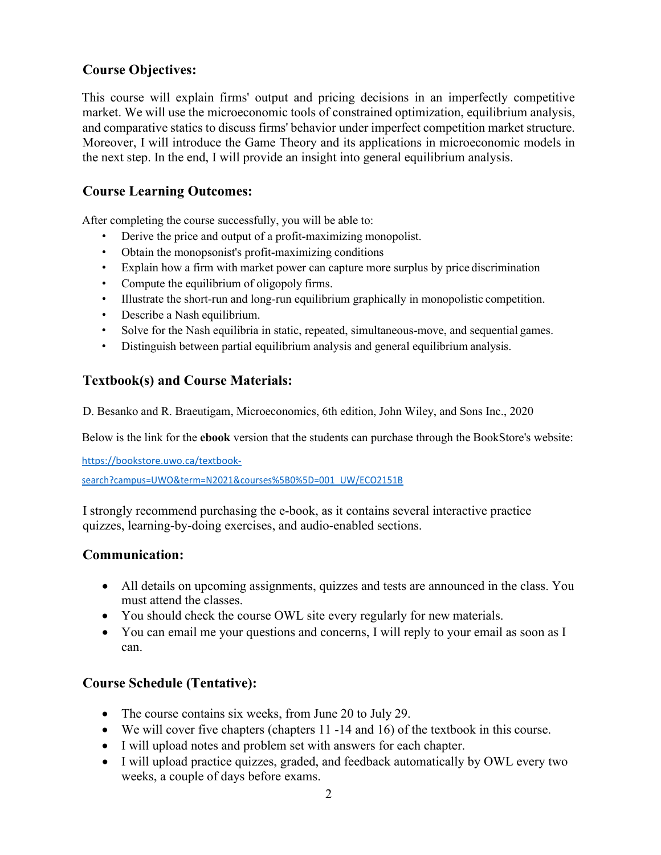# **Course Objectives:**

 market. We will use the microeconomic tools of constrained optimization, equilibrium analysis, and comparative statics to discuss firms' behavior under imperfect competition market structure. This course will explain firms' output and pricing decisions in an imperfectly competitive Moreover, I will introduce the Game Theory and its applications in microeconomic models in the next step. In the end, I will provide an insight into general equilibrium analysis.

# **Course Learning Outcomes:**

After completing the course successfully, you will be able to:

- Derive the price and output of a profit-maximizing monopolist.
- Obtain the monopsonist's profit-maximizing conditions
- Explain how a firm with market power can capture more surplus by price discrimination
- Compute the equilibrium of oligopoly firms.
- Illustrate the short-run and long-run equilibrium graphically in monopolistic competition.
- Describe a Nash equilibrium.
- Solve for the Nash equilibria in static, repeated, simultaneous-move, and sequential games.
- Distinguish between partial equilibrium analysis and general equilibrium analysis.

# **Textbook(s) and Course Materials:**

D. Besanko and R. Braeutigam, Microeconomics, 6th edition, John Wiley, and Sons Inc., 2020

Below is the link for the **ebook** version that the students can purchase through the BookStore's website:

[https://bookstore.uwo.ca/textbook-](https://bookstore.uwo.ca/textbook)

search?campus=UWO&term=N2021&courses%5B0%5D=001\_UW/ECO2151B

I strongly recommend purchasing the e-book, as it contains several interactive practice quizzes, learning-by-doing exercises, and audio-enabled sections.

# **Communication:**

- All details on upcoming assignments, quizzes and tests are announced in the class. You must attend the classes.
- You should check the course OWL site every regularly for new materials.
- • You can email me your questions and concerns, I will reply to your email as soon as I can.

# **Course Schedule (Tentative):**

- The course contains six weeks, from June 20 to July 29.
- We will cover five chapters (chapters 11 -14 and 16) of the textbook in this course.
- I will upload notes and problem set with answers for each chapter.
- weeks, a couple of days before exams. • I will upload practice quizzes, graded, and feedback automatically by OWL every two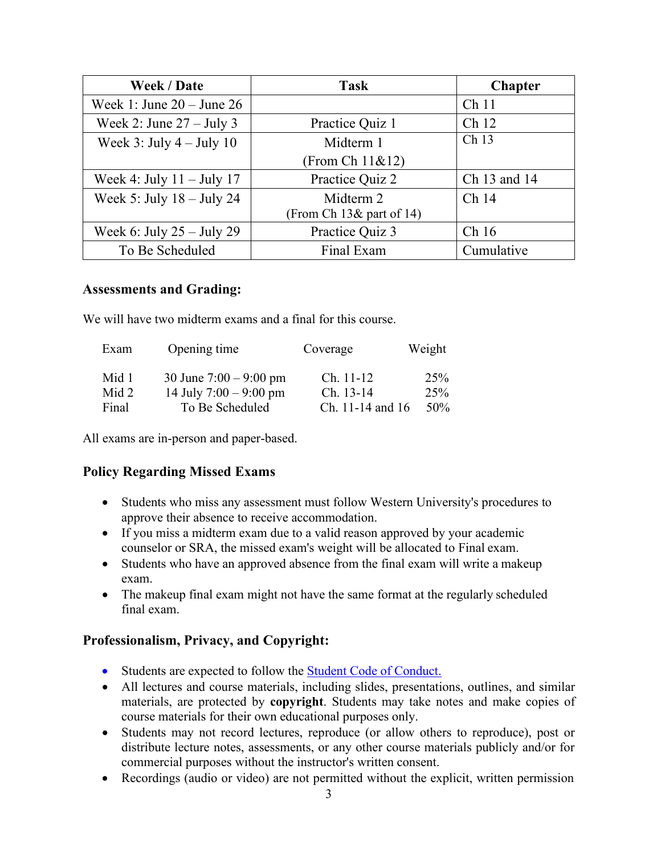| Week / Date                   | <b>Task</b>                | <b>Chapter</b>   |
|-------------------------------|----------------------------|------------------|
| Week 1: June $20 -$ June $26$ |                            | Ch <sub>11</sub> |
| Week 2: June $27 -$ July 3    | Practice Quiz 1            | Ch <sub>12</sub> |
| Week 3: July $4 -$ July 10    | Midterm 1                  | Ch 13            |
|                               | (From Ch 11&12)            |                  |
| Week 4: July $11 -$ July 17   | Practice Quiz 2            | Ch 13 and 14     |
| Week 5: July $18 -$ July 24   | Midterm 2                  | Ch <sub>14</sub> |
|                               | From Ch $13\&$ part of 14) |                  |
| Week 6: July $25 -$ July 29   | Practice Quiz 3            | Ch16             |
| To Be Scheduled               | Final Exam                 | Cumulative       |

### **Assessments and Grading:**

We will have two midterm exams and a final for this course.

| Exam  | Opening time             | Coverage         | Weight |
|-------|--------------------------|------------------|--------|
| Mid 1 | 30 June $7:00 - 9:00$ pm | $Ch. 11-12$      | 25%    |
| Mid 2 | 14 July $7:00 - 9:00$ pm | Ch. 13-14        | 25%    |
| Final | To Be Scheduled          | Ch. 11-14 and 16 | $50\%$ |

All exams are in-person and paper-based.

## **Policy Regarding Missed Exams**

- approve their absence to receive accommodation. • Students who miss any assessment must follow Western University's procedures to
- • If you miss a midterm exam due to a valid reason approved by your academic counselor or SRA, the missed exam's weight will be allocated to Final exam.
- Students who have an approved absence from the final exam will write a makeup exam.
- The makeup final exam might not have the same format at the regularly scheduled final exam.

## **Professionalism, Privacy, and Copyright:**

- Students are expected to follow the **Student Code of Conduct.**
- All lectures and course materials, including slides, presentations, outlines, and similar materials, are protected by **copyright**. Students may take notes and make copies of course materials for their own educational purposes only.
- Students may not record lectures, reproduce (or allow others to reproduce), post or distribute lecture notes, assessments, or any other course materials publicly and/or for commercial purposes without the instructor's written consent.
- Recordings (audio or video) are not permitted without the explicit, written permission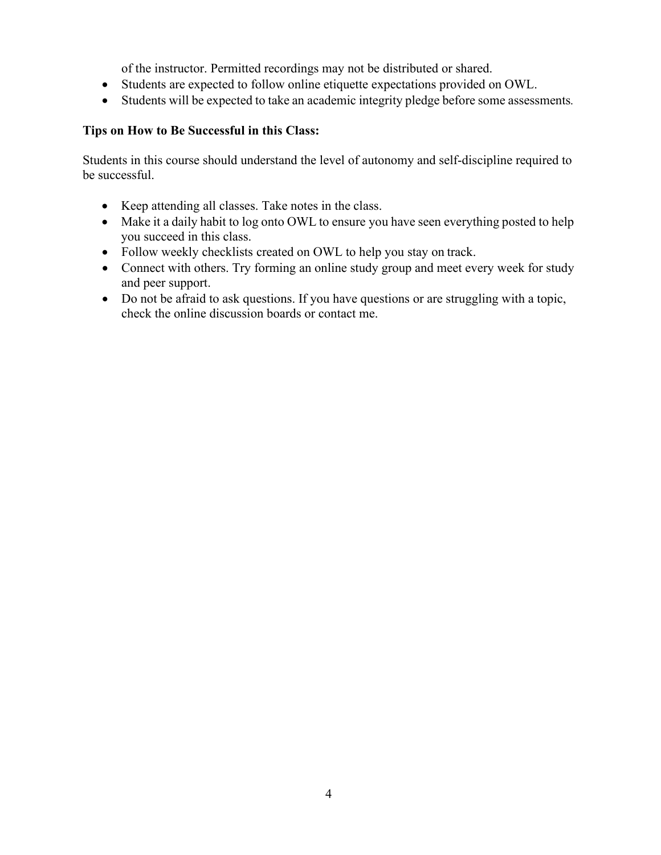of the instructor. Permitted recordings may not be distributed or shared.

- Students are expected to follow online etiquette expectations provided on OWL.
- Students will be expected to take an academic integrity pledge before some assessments*.*

## **Tips on How to Be Successful in this Class:**

Students in this course should understand the level of autonomy and self-discipline required to be successful.

- Keep attending all classes. Take notes in the class.
- • Make it a daily habit to log onto OWL to ensure you have seen everything posted to help you succeed in this class.
- Follow weekly checklists created on OWL to help you stay on track.
- Connect with others. Try forming an online study group and meet every week for study and peer support.
- Do not be afraid to ask questions. If you have questions or are struggling with a topic, check the online discussion boards or contact me.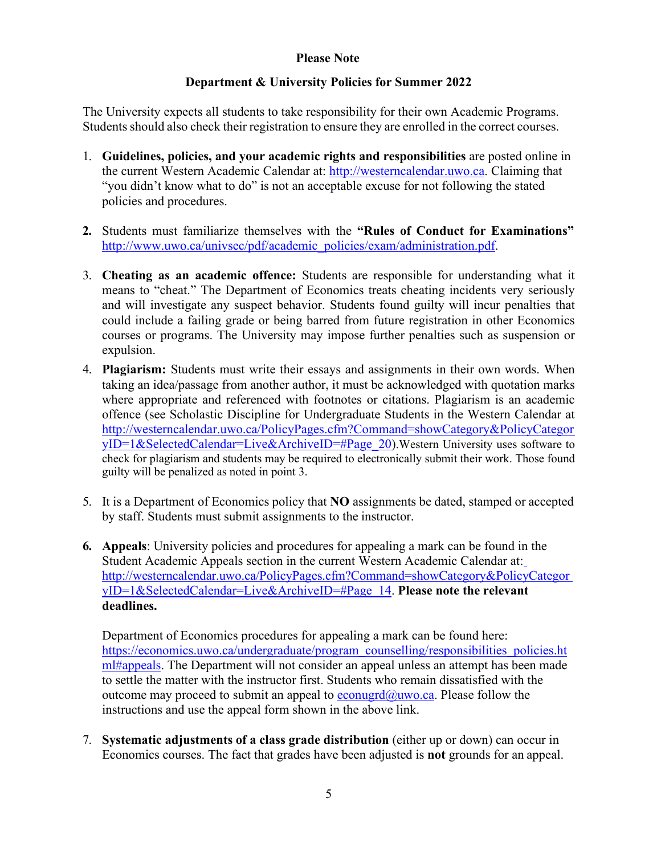### **Please Note**

## **Department & University Policies for Summer 2022**

 Students should also check their registration to ensure they are enrolled in the correct courses. The University expects all students to take responsibility for their own Academic Programs.

- 1. **Guidelines, policies, and your academic rights and responsibilities** are posted online in the current Western Academic Calendar at: [http://westerncalendar.uwo.ca.](http://westerncalendar.uwo.ca/) Claiming that "you didn't know what to do" is not an acceptable excuse for not following the stated policies and procedures.
- **2.** Students must familiarize themselves with the **"Rules of Conduct for Examinations"**  [http://www.uwo.ca/univsec/pdf/academic\\_policies/exam/administration.pdf.](http://www.uwo.ca/univsec/pdf/academic_policies/exam/administration.pdf)
- 3. **Cheating as an academic offence:** Students are responsible for understanding what it means to "cheat." The Department of Economics treats cheating incidents very seriously and will investigate any suspect behavior. Students found guilty will incur penalties that could include a failing grade or being barred from future registration in other Economics courses or programs. The University may impose further penalties such as suspension or expulsion.
- 4. **Plagiarism:** Students must write their essays and assignments in their own words. When taking an idea/passage from another author, it must be acknowledged with quotation marks where appropriate and referenced with footnotes or citations. Plagiarism is an academic offence (see Scholastic Discipline for Undergraduate Students in the Western Calendar at [http://westerncalendar.uwo.ca/PolicyPages.cfm?Command=showCategory&PolicyCategor](http://westerncalendar.uwo.ca/PolicyPages.cfm?Command=showCategory&PolicyCategoryID=1&SelectedCalendar=Live&ArchiveID&Page_20)  [yID=1&SelectedCalendar=Live&ArchiveID=#Page\\_20\)](http://westerncalendar.uwo.ca/PolicyPages.cfm?Command=showCategory&PolicyCategoryID=1&SelectedCalendar=Live&ArchiveID&Page_20).Western University uses software to check for plagiarism and students may be required to electronically submit their work. Those found guilty will be penalized as noted in point 3.
- 5. It is a Department of Economics policy that **NO** assignments be dated, stamped or accepted by staff. Students must submit assignments to the instructor.
- **6. Appeals**: University policies and procedures for appealing a mark can be found in the Student Academic Appeals section in the current Western Academic Calendar at: [http://westerncalendar.uwo.ca/PolicyPages.cfm?Command=showCategory&PolicyCategor](http://westerncalendar.uwo.ca/PolicyPages.cfm?Command=showCategory&PolicyCategoryID=1&SelectedCalendar=Live&ArchiveID&Page_14)  [yID=1&SelectedCalendar=Live&ArchiveID=#Page\\_14.](http://westerncalendar.uwo.ca/PolicyPages.cfm?Command=showCategory&PolicyCategoryID=1&SelectedCalendar=Live&ArchiveID&Page_14) **Please note the relevant deadlines.**

Department of Economics procedures for appealing a mark can be found here: https://economics.uwo.ca/undergraduate/program\_counselling/responsibilities\_policies.ht [ml#appeals. T](https://economics.uwo.ca/undergraduate/program_counselling/responsibilities_policies.html#appeals)he Department will not consider an appeal unless an attempt has been made to settle the matter with the instructor first. Students who remain dissatisfied with the outcome may proceed to submit an appeal to  $e_{\text{conugrd}}(\hat{a}_{\text{uwo.ca.}})$  Please follow the instructions and use the appeal form shown in the above link.

7. **Systematic adjustments of a class grade distribution** (either up or down) can occur in Economics courses. The fact that grades have been adjusted is **not** grounds for an appeal.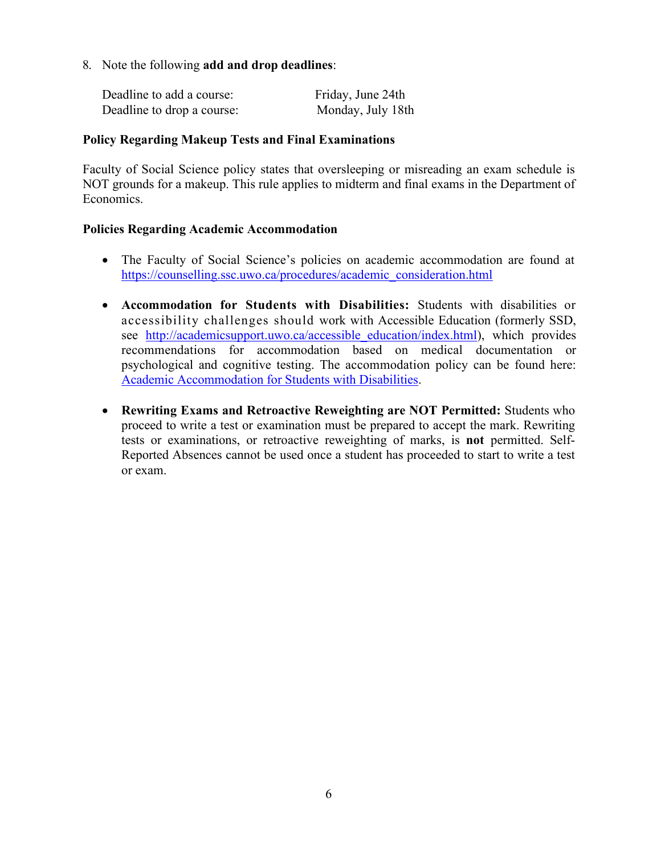8. Note the following **add and drop deadlines**:

| Deadline to add a course:  | Friday, June 24th |
|----------------------------|-------------------|
| Deadline to drop a course: | Monday, July 18th |

#### **Policy Regarding Makeup Tests and Final Examinations**

Faculty of Social Science policy states that oversleeping or misreading an exam schedule is NOT grounds for a makeup. This rule applies to midterm and final exams in the Department of Economics.

### **Policies Regarding Academic Accommodation**

- The Faculty of Social Science's policies on academic accommodation are found at [https://counselling.ssc.uwo.ca/procedures/academic\\_consideration.html](https://counselling.ssc.uwo.ca/procedures/academic_consideration.html)
- accessibility challenges should work with Accessible Education (formerly SSD, • **Accommodation for Students with Disabilities:** Students with disabilities or see http://academicsupport.uwo.ca/accessible education/index.html), which provides recommendations for accommodation based on medical documentation or psychological and cognitive testing. The accommodation policy can be found here[:](https://www.uwo.ca/univsec/pdf/academic_policies/appeals/Academic%20Accommodation_disabilities.pdf)  [Academic Accommodation for Students with Disabilities.](https://www.uwo.ca/univsec/pdf/academic_policies/appeals/Academic%20Accommodation_disabilities.pdf)
- **Rewriting Exams and Retroactive Reweighting are NOT Permitted:** Students who proceed to write a test or examination must be prepared to accept the mark. Rewriting tests or examinations, or retroactive reweighting of marks, is **not** permitted. Self-Reported Absences cannot be used once a student has proceeded to start to write a test or exam.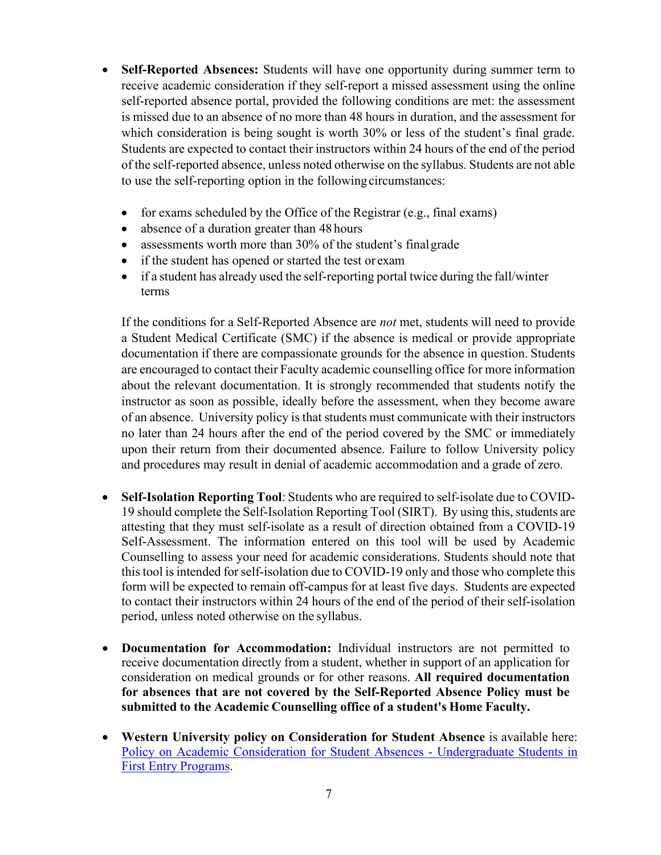- is missed due to an absence of no more than 48 hours in duration, and the assessment for Students are expected to contact their instructors within 24 hours of the end of the period of the self-reported absence, unless noted otherwise on the syllabus. Students are not able • **Self-Reported Absences:** Students will have one opportunity during summer term to receive academic consideration if they self-report a missed assessment using the online self-reported absence portal, provided the following conditions are met: the assessment which consideration is being sought is worth 30% or less of the student's final grade. to use the self-reporting option in the following circumstances:
	- for exams scheduled by the Office of the Registrar (e.g., final exams)
	- absence of a duration greater than 48 hours
	- assessments worth more than 30% of the student's final grade
	- if the student has opened or started the test or exam
	- • if a student has already used the self-reporting portal twice during the fall/winter terms

 are encouraged to contact their Faculty academic counselling office for more information of an absence. University policy is that students must communicate with their instructors and procedures may result in denial of academic accommodation and a grade of zero. If the conditions for a Self-Reported Absence are *not* met, students will need to provide a Student Medical Certificate (SMC) if the absence is medical or provide appropriate documentation if there are compassionate grounds for the absence in question. Students about the relevant documentation. It is strongly recommended that students notify the instructor as soon as possible, ideally before the assessment, when they become aware no later than 24 hours after the end of the period covered by the SMC or immediately upon their return from their documented absence. Failure to follow University policy

- **Self-Isolation Reporting Tool**: Students who are required to self-isolate due to COVID- 19 should complete the Self-Isolation Reporting Tool (SIRT). By using this, students are this tool is intended for self-isolation due to COVID-19 only and those who complete this form will be expected to remain off-campus for at least five days. Students are expected to contact their instructors within 24 hours of the end of the period of their self-isolation period, unless noted otherwise on the syllabus. attesting that they must self-isolate as a result of direction obtained from a COVID-19 Self-Assessment. The information entered on this tool will be used by Academic Counselling to assess your need for academic considerations. Students should note that
- receive documentation directly from a student, whether in support of an application for  **submitted to the Academic Counselling office of a student's Home Faculty.**  • **Documentation for Accommodation:** Individual instructors are not permitted to consideration on medical grounds or for other reasons. **All required documentation for absences that are not covered by the Self-Reported Absence Policy must be**
- [Policy on Academic Consideration for Student Absences -](https://www.uwo.ca/univsec/pdf/academic_policies/appeals/accommodation_illness.pdf) Undergraduate Students i[n](https://www.uwo.ca/univsec/pdf/academic_policies/appeals/accommodation_illness.pdf)  • **Western University policy on Consideration for Student Absence** is available here[:](https://www.uwo.ca/univsec/pdf/academic_policies/appeals/accommodation_illness.pdf)  [First Entry Programs.](https://www.uwo.ca/univsec/pdf/academic_policies/appeals/accommodation_illness.pdf)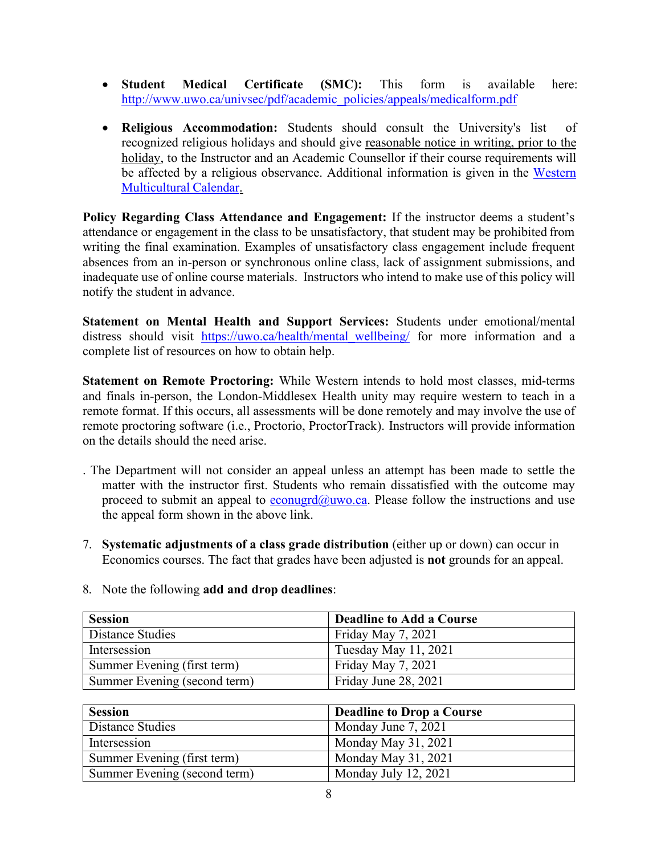- **Student Medical Certificate (SMC):** This form is available here: [http://www.uwo.ca/univsec/pdf/academic\\_policies/appeals/medicalform.pdf](http://www.uwo.ca/univsec/pdf/academic_policies/appeals/medicalform.pdf)
- be affected by a religious observance. Additional information is given in the Western • **Religious Accommodation:** Students should consult the University's list of recognized religious holidays and should give reasonable notice in writing, prior to the holiday, to the Instructor and an Academic Counsellor if their course requirements will [Multicultural Calendar.](https://multiculturalcalendar.com/ecal/index.php?s=c-univwo)

 inadequate use of online course materials. Instructors who intend to make use of this policy will notify the student in advance. **Policy Regarding Class Attendance and Engagement:** If the instructor deems a student's attendance or engagement in the class to be unsatisfactory, that student may be prohibited from writing the final examination. Examples of unsatisfactory class engagement include frequent absences from an in-person or synchronous online class, lack of assignment submissions, and

**Statement on Mental Health and Support Services:** Students under emotional/mental distress should visit https://uwo.ca/health/mental wellbeing/ for more information and a complete list of resources on how to obtain help.

 on the details should the need arise. **Statement on Remote Proctoring:** While Western intends to hold most classes, mid-terms and finals in-person, the London-Middlesex Health unity may require western to teach in a remote format. If this occurs, all assessments will be done remotely and may involve the use of remote proctoring software (i.e., Proctorio, ProctorTrack). Instructors will provide information

- . The Department will not consider an appeal unless an attempt has been made to settle the matter with the instructor first. Students who remain dissatisfied with the outcome may proceed to submit an appeal to [econugrd@uwo.ca.](mailto:econugrd@uwo.ca) Please follow the instructions and use the appeal form shown in the above link.
- Economics courses. The fact that grades have been adjusted is **not** grounds for an appeal. 7. **Systematic adjustments of a class grade distribution** (either up or down) can occur in

| <b>Session</b>               | <b>Deadline to Add a Course</b> |
|------------------------------|---------------------------------|
| Distance Studies             | Friday May 7, 2021              |
| Intersession                 | Tuesday May 11, 2021            |
| Summer Evening (first term)  | Friday May 7, 2021              |
| Summer Evening (second term) | Friday June 28, 2021            |

#### 8. Note the following **add and drop deadlines**:

| <b>Session</b>               | <b>Deadline to Drop a Course</b> |
|------------------------------|----------------------------------|
| Distance Studies             | Monday June 7, 2021              |
| Intersession                 | Monday May 31, 2021              |
| Summer Evening (first term)  | Monday May 31, 2021              |
| Summer Evening (second term) | Monday July 12, 2021             |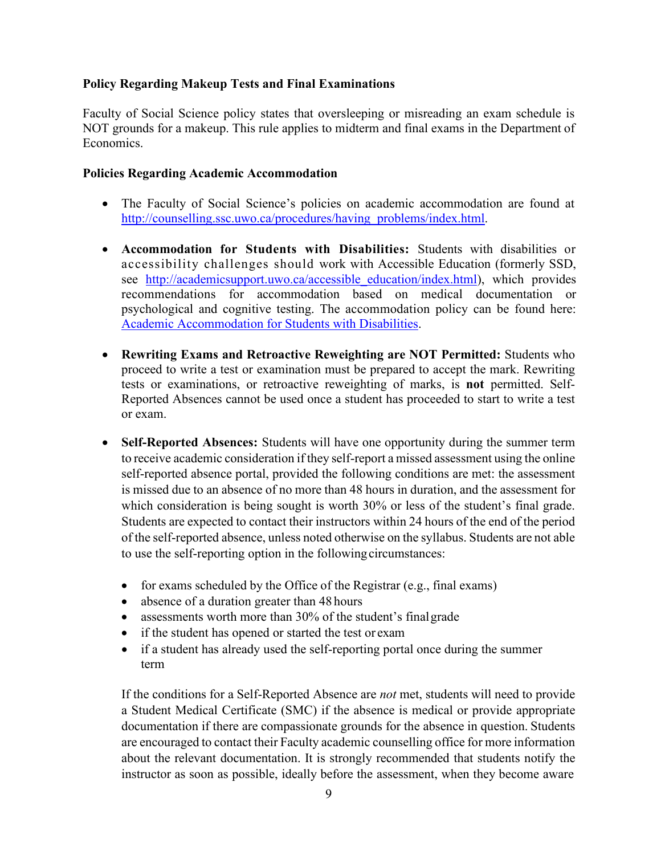## **Policy Regarding Makeup Tests and Final Examinations**

Faculty of Social Science policy states that oversleeping or misreading an exam schedule is NOT grounds for a makeup. This rule applies to midterm and final exams in the Department of Economics.

#### **Policies Regarding Academic Accommodation**

- The Faculty of Social Science's policies on academic accommodation are found at [http://counselling.ssc.uwo.ca/procedures/having\\_problems/index.html.](http://counselling.ssc.uwo.ca/procedures/having_problems/index.html)
- accessibility challenges should work with Accessible Education (formerly SSD, • **Accommodation for Students with Disabilities:** Students with disabilities or see [http://academicsupport.uwo.ca/accessible\\_education/index.html\)](http://academicsupport.uwo.ca/accessible_education/index.html), which provides recommendations for accommodation based on medical documentation or psychological and cognitive testing. The accommodation policy can be found here[:](https://www.uwo.ca/univsec/pdf/academic_policies/appeals/Academic%20Accommodation_disabilities.pdf)  [Academic Accommodation for Students with Disabilities.](https://www.uwo.ca/univsec/pdf/academic_policies/appeals/Academic%20Accommodation_disabilities.pdf)
- **Rewriting Exams and Retroactive Reweighting are NOT Permitted:** Students who proceed to write a test or examination must be prepared to accept the mark. Rewriting tests or examinations, or retroactive reweighting of marks, is **not** permitted. Self-Reported Absences cannot be used once a student has proceeded to start to write a test or exam.
- to receive academic consideration if they self-report a missed assessment using the online is missed due to an absence of no more than 48 hours in duration, and the assessment for Students are expected to contact their instructors within 24 hours of the end of the period of the self-reported absence, unless noted otherwise on the syllabus. Students are not able • **Self-Reported Absences:** Students will have one opportunity during the summer term self-reported absence portal, provided the following conditions are met: the assessment which consideration is being sought is worth 30% or less of the student's final grade. to use the self-reporting option in the following circumstances:
	- for exams scheduled by the Office of the Registrar (e.g., final exams)
	- absence of a duration greater than 48 hours
	- assessments worth more than 30% of the student's final grade
	- if the student has opened or started the test or exam
	- if a student has already used the self-reporting portal once during the summer term

 are encouraged to contact their Faculty academic counselling office for more information instructor as soon as possible, ideally before the assessment, when they become aware If the conditions for a Self-Reported Absence are *not* met, students will need to provide a Student Medical Certificate (SMC) if the absence is medical or provide appropriate documentation if there are compassionate grounds for the absence in question. Students about the relevant documentation. It is strongly recommended that students notify the